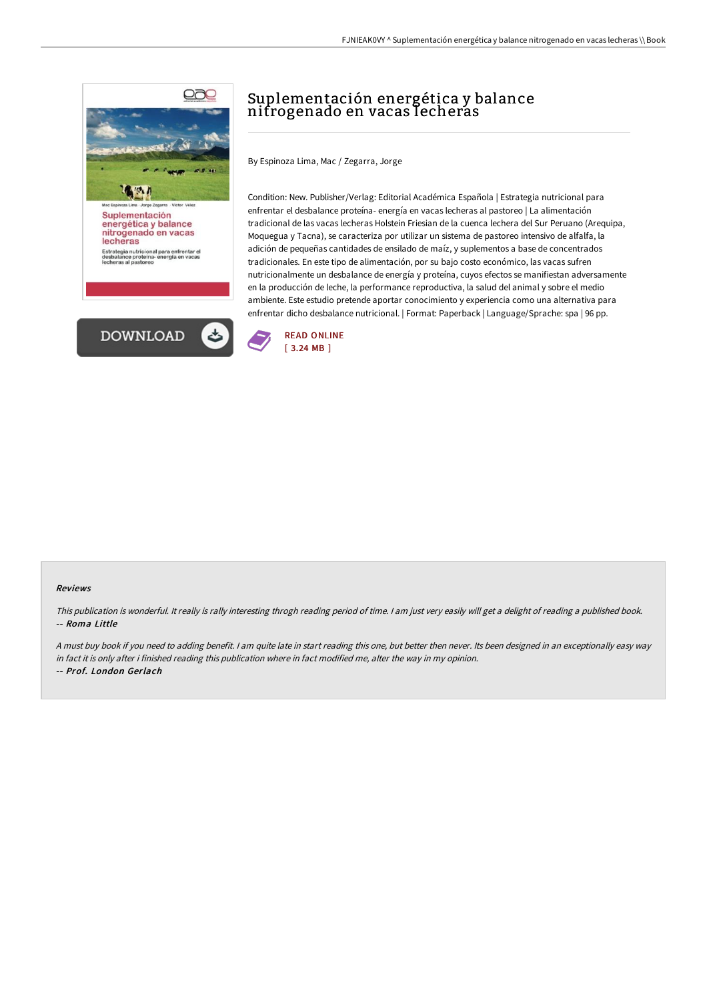

# Suplementación energética y balance nitrogenado en vacas lecheras

By Espinoza Lima, Mac / Zegarra, Jorge

Condition: New. Publisher/Verlag: Editorial Académica Española | Estrategia nutricional para enfrentar el desbalance proteína- energía en vacas lecheras al pastoreo | La alimentación tradicional de las vacas lecheras Holstein Friesian de la cuenca lechera del Sur Peruano (Arequipa, Moquegua y Tacna), se caracteriza por utilizar un sistema de pastoreo intensivo de alfalfa, la adición de pequeñas cantidades de ensilado de maíz, y suplementos a base de concentrados tradicionales. En este tipo de alimentación, por su bajo costo económico, las vacas sufren nutricionalmente un desbalance de energía y proteína, cuyos efectos se manifiestan adversamente en la producción de leche, la performance reproductiva, la salud del animal y sobre el medio ambiente. Este estudio pretende aportar conocimiento y experiencia como una alternativa para enfrentar dicho desbalance nutricional. | Format: Paperback | Language/Sprache: spa | 96 pp.



#### Reviews

This publication is wonderful. It really is rally interesting throgh reading period of time. <sup>I</sup> am just very easily will get <sup>a</sup> delight of reading <sup>a</sup> published book. -- Roma Little

<sup>A</sup> must buy book if you need to adding benefit. <sup>I</sup> am quite late in start reading this one, but better then never. Its been designed in an exceptionally easy way in fact it is only after i finished reading this publication where in fact modified me, alter the way in my opinion. -- Prof. London Gerlach